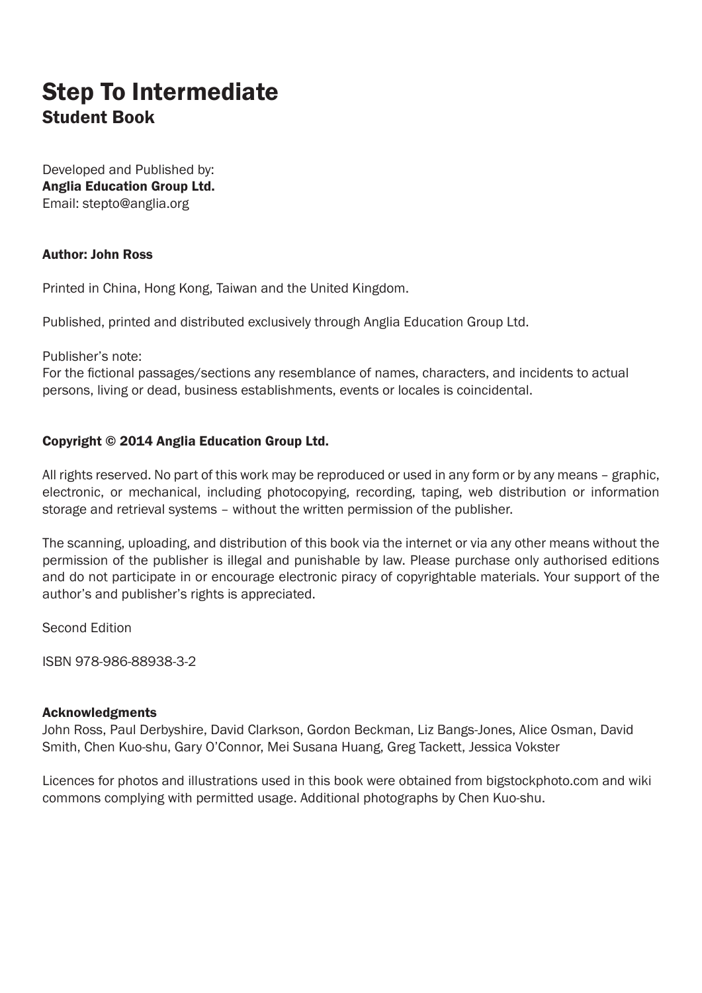## Step To Intermediate Student Book

Developed and Published by: Anglia Education Group Ltd. Email: stepto@anglia.org

#### Author: John Ross

Printed in China, Hong Kong, Taiwan and the United Kingdom.

Published, printed and distributed exclusively through Anglia Education Group Ltd.

Publisher's note:

For the fictional passages/sections any resemblance of names, characters, and incidents to actual persons, living or dead, business establishments, events or locales is coincidental.

#### Copyright © 2014 Anglia Education Group Ltd.

All rights reserved. No part of this work may be reproduced or used in any form or by any means – graphic, electronic, or mechanical, including photocopying, recording, taping, web distribution or information storage and retrieval systems – without the written permission of the publisher.

The scanning, uploading, and distribution of this book via the internet or via any other means without the permission of the publisher is illegal and punishable by law. Please purchase only authorised editions and do not participate in or encourage electronic piracy of copyrightable materials. Your support of the author's and publisher's rights is appreciated.

Second Edition

ISBN 978-986-88938-3-2

#### Acknowledgments

John Ross, Paul Derbyshire, David Clarkson, Gordon Beckman, Liz Bangs-Jones, Alice Osman, David Smith, Chen Kuo-shu, Gary O'Connor, Mei Susana Huang, Greg Tackett, Jessica Vokster

Licences for photos and illustrations used in this book were obtained from bigstockphoto.com and wiki commons complying with permitted usage. Additional photographs by Chen Kuo-shu.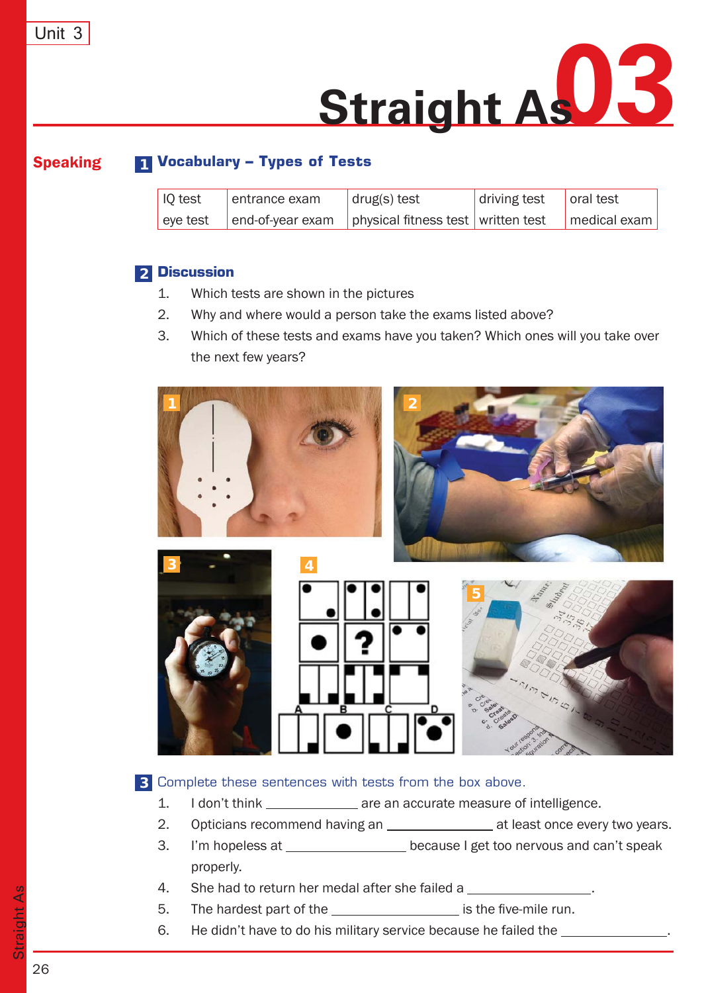

# Speaking **Vocabulary - Types of Tests 1**

| $\vert$ IQ test | entrance exam | $rac{}{}$ drug(s) test                                      | driving test | oral test    |
|-----------------|---------------|-------------------------------------------------------------|--------------|--------------|
| eye test        |               | $ $ end-of-year exam $ $ physical fitness test written test |              | medical exam |

#### **Discussion 2**

- 1. Which tests are shown in the pictures
- 2. Why and where would a person take the exams listed above?
- 3. Which of these tests and exams have you taken? Which ones will you take over the next few years?



#### Complete these sentences with tests from the box above. **3**

- 1. I don't think \_\_\_\_\_\_\_\_\_\_\_\_\_\_ are an accurate measure of intelligence.
- 2. Opticians recommend having an \_\_\_\_\_\_\_\_\_\_\_\_\_\_\_\_\_\_ at least once every two years.
- 3. I'm hopeless at because I get too nervous and can't speak properly.
- 4. She had to return her medal after she failed a
- 5. The hardest part of the \_\_\_\_\_\_\_\_\_\_\_\_\_\_\_\_\_\_\_\_ is the five-mile run.
- 6. He didn't have to do his military service because he failed the \_\_\_\_\_\_\_\_\_\_\_\_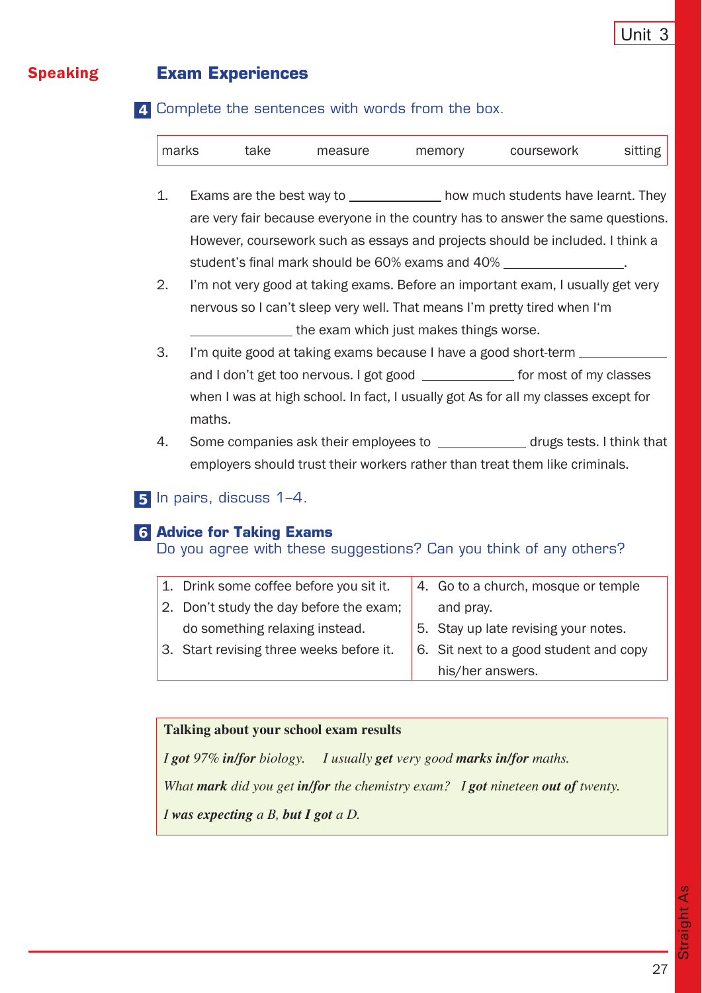### Speaking **Exam Experiences**

Complete the sentences with words from the box. **4**

| I marks | take | measure | memory | coursework | sitting |
|---------|------|---------|--------|------------|---------|
|         |      |         |        |            |         |

- 1. Exams are the best way to how much students have learnt. They are very fair because everyone in the country has to answer the same questions. However, coursework such as essays and projects should be included. I think a student's final mark should be 60% exams and 40%
- 2. I'm not very good at taking exams. Before an important exam, I usually get very nervous so I can't sleep very well. That means I'm pretty tired when I'm the exam which just makes things worse.
- 3. I'm quite good at taking exams because I have a good short-term and I don't get too nervous. I got good \_\_\_\_\_\_\_\_\_\_\_\_\_\_ for most of my classes when I was at high school. In fact, I usually got As for all my classes except for maths.
- 4. Some companies ask their employees to **construents** drugs tests. I think that employers should trust their workers rather than treat them like criminals.

## In pairs, discuss 1–4. **5**

### **Advice for Taking Exams 6**

Do you agree with these suggestions? Can you think of any others?

| 1. Drink some coffee before you sit it.  | 4. Go to a church, mosque or temple    |
|------------------------------------------|----------------------------------------|
| 2. Don't study the day before the exam;  | and pray.                              |
| do something relaxing instead.           | 5. Stay up late revising your notes.   |
| 3. Start revising three weeks before it. | 6. Sit next to a good student and copy |
|                                          | his/her answers.                       |

#### **Talking about your school exam results**

*I got 97% in/for biology. I usually get very good marks in/for maths. What mark did you get in/for the chemistry exam? I got nineteen out of twenty. I was expecting a B, but I got a D.*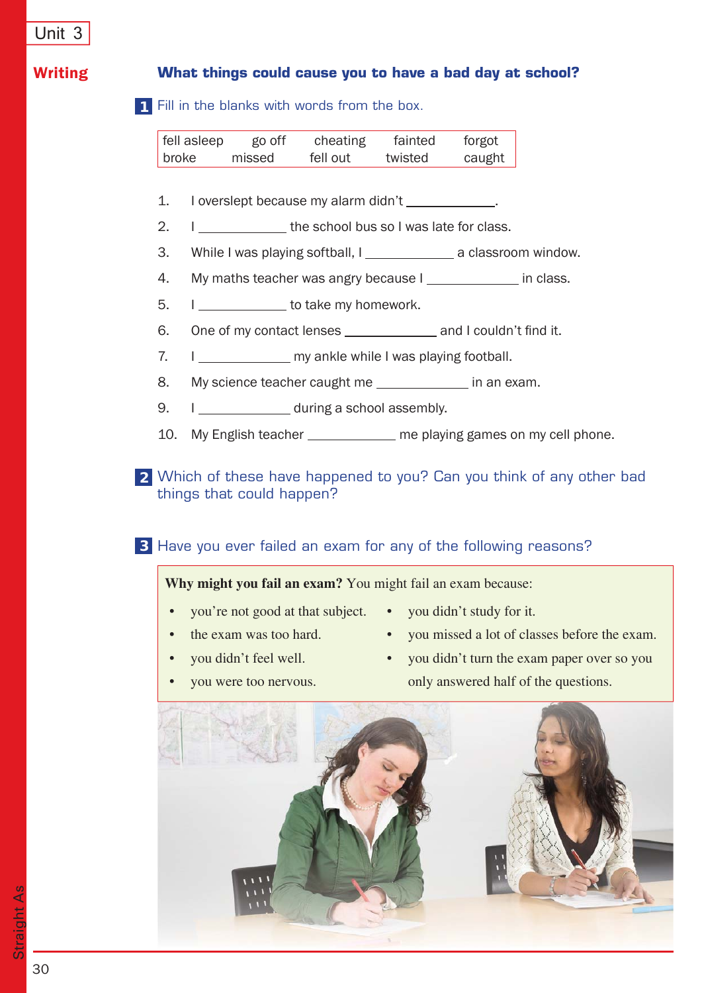### Writing **What things could cause you to have a bad day at school?**

Fill in the blanks with words from the box. **1**

| fell asleep | go off | cheating | fainted | forgot |
|-------------|--------|----------|---------|--------|
| broke       | missed | fell out | twisted | caught |

- 1. I overslept because my alarm didn't .
- 2. I \_\_\_\_\_\_\_\_\_\_\_\_\_\_ the school bus so I was late for class.
- 3. While I was playing softball, I a classroom window.
- 4. My maths teacher was angry because I in class.
- 5. I \_\_\_\_\_\_\_\_\_ to take my homework.
- 6. One of my contact lenses and I couldn't find it.
- 7. I my ankle while I was playing football.
- 8. My science teacher caught me in an exam.
- 9. I during a school assembly.
- 10. My English teacher \_\_\_\_\_\_\_\_\_\_\_ me playing games on my cell phone.

Which of these have happened to you? Can you think of any other bad **2** things that could happen?

Have you ever failed an exam for any of the following reasons? **3**

**Why might you fail an exam?** You might fail an exam because:

- you're not good at that subject. you didn't study for it.
- the exam was too hard.
- 
- you missed a lot of classes before the exam.
- you didn't feel well.
- you didn't turn the exam paper over so you only answered half of the questions.
- you were too nervous.